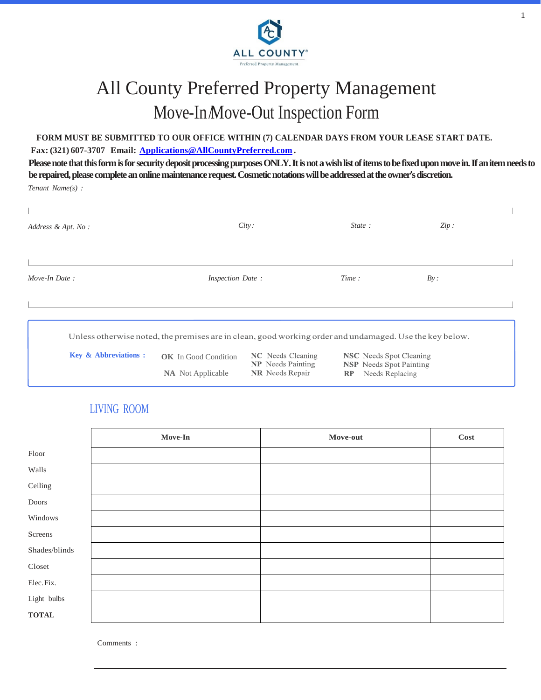

1

# All County Preferred Property Management Move-In/Move-Out Inspection Form

#### **FORM MUST BE SUBMITTED TO OUR OFFICE WITHIN (7) CALENDAR DAYS FROM YOUR LEASE START DATE. Fax: (321) 607-3707 Email: [Applications@AllCountyPreferred.com](mailto:Applications@AllCountyPreferred.com) .**

**Please note that this form is for security deposit processing purposes ONLY. It is not a wish list of items to be fixed upon move in. If an item needs to be repaired, please complete an online maintenance request. Cosmetic notations will be addressed at the owner's discretion.**

*Tenant Name(s) :*

| Address & Apt. No:              |                                                                                                         | City:                                                | State:                                                           | Zip: |
|---------------------------------|---------------------------------------------------------------------------------------------------------|------------------------------------------------------|------------------------------------------------------------------|------|
|                                 |                                                                                                         |                                                      |                                                                  |      |
| Move-In Date:                   | <i>Inspection Date:</i>                                                                                 |                                                      | Time:                                                            | By:  |
|                                 |                                                                                                         |                                                      |                                                                  |      |
|                                 |                                                                                                         |                                                      |                                                                  |      |
|                                 | Unless otherwise noted, the premises are in clean, good working order and undamaged. Use the key below. |                                                      |                                                                  |      |
| <b>Key &amp; Abbreviations:</b> | <b>OK</b> In Good Condition                                                                             | <b>NC</b> Needs Cleaning<br><b>NP</b> Needs Painting | <b>NSC</b> Needs Spot Cleaning<br><b>NSP</b> Needs Spot Painting |      |
|                                 | <b>NA</b> Not Applicable                                                                                | <b>NR</b> Needs Repair                               | Needs Replacing<br>RP                                            |      |

#### LIVING ROOM

|               | Move-In | Move-out | <b>Cost</b> |
|---------------|---------|----------|-------------|
| Floor         |         |          |             |
| Walls         |         |          |             |
| Ceiling       |         |          |             |
| Doors         |         |          |             |
| Windows       |         |          |             |
| Screens       |         |          |             |
| Shades/blinds |         |          |             |
| Closed        |         |          |             |
| Elec. Fix.    |         |          |             |
| Light bulbs   |         |          |             |
| <b>TOTAL</b>  |         |          |             |

Comments :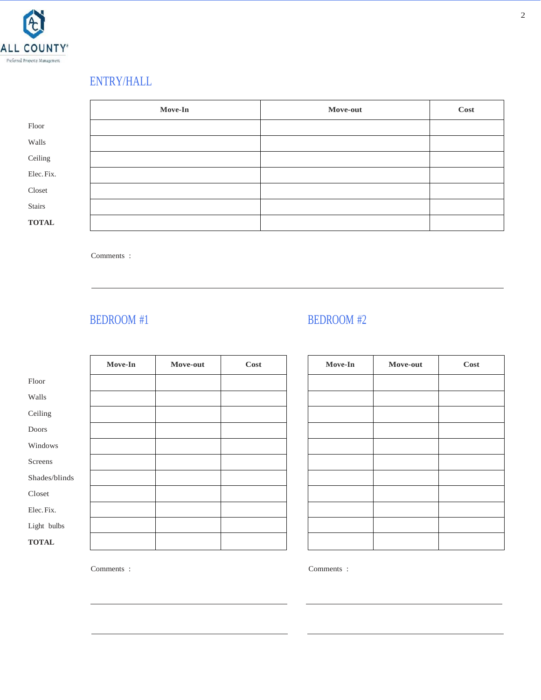

# ENTRY/HALL

|              | Move-In | Move-out | Cost |
|--------------|---------|----------|------|
| Floor        |         |          |      |
| Walls        |         |          |      |
| Ceiling      |         |          |      |
| Elec. Fix.   |         |          |      |
| Closet       |         |          |      |
| Stairs       |         |          |      |
| <b>TOTAL</b> |         |          |      |

Comments :

### BEDROOM #1 BEDROOM #2

|               | Move-In | Move-out | <b>Cost</b> |
|---------------|---------|----------|-------------|
| Floor         |         |          |             |
| Walls         |         |          |             |
| Ceiling       |         |          |             |
| Doors         |         |          |             |
| Windows       |         |          |             |
| Screens       |         |          |             |
| Shades/blinds |         |          |             |
| Closed        |         |          |             |
| Elec. Fix.    |         |          |             |
| Light bulbs   |         |          |             |
| <b>TOTAL</b>  |         |          |             |

| Move-In | Move-out | Cost |
|---------|----------|------|
|         |          |      |
|         |          |      |
|         |          |      |
|         |          |      |
|         |          |      |
|         |          |      |
|         |          |      |
|         |          |      |
|         |          |      |
|         |          |      |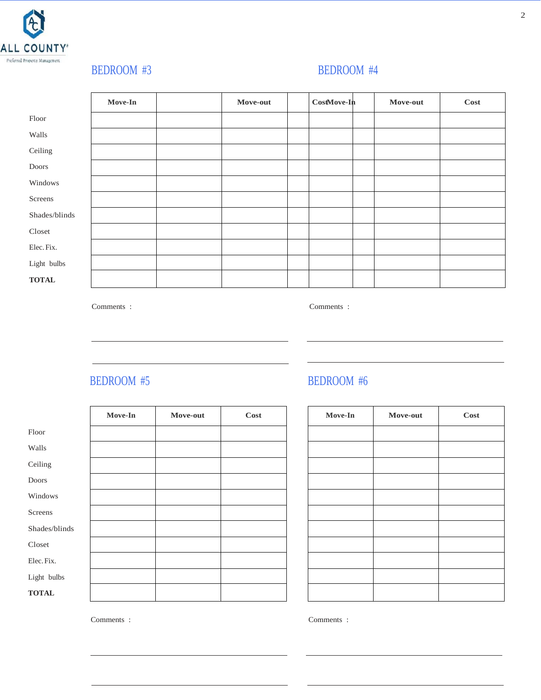

### BEDROOM #3 BEDROOM #4

|               | Move-In | Move-out | CostMove-In | Move-out | Cost |
|---------------|---------|----------|-------------|----------|------|
| Floor         |         |          |             |          |      |
| Walls         |         |          |             |          |      |
| Ceiling       |         |          |             |          |      |
| Doors         |         |          |             |          |      |
| Windows       |         |          |             |          |      |
| Screens       |         |          |             |          |      |
| Shades/blinds |         |          |             |          |      |
| Closed        |         |          |             |          |      |
| Elec. Fix.    |         |          |             |          |      |
| Light bulbs   |         |          |             |          |      |
| <b>TOTAL</b>  |         |          |             |          |      |

Comments : Comments :

| Move-In<br>Cost<br>Move-In<br>Move-out<br>Move-out<br>Floor<br>Walls<br>Ceiling<br>Doors<br>Windows<br>Screens<br>Shades/blinds<br>$C$ loset<br>Elec. Fix. |  |  |  |      |
|------------------------------------------------------------------------------------------------------------------------------------------------------------|--|--|--|------|
|                                                                                                                                                            |  |  |  | Cost |
|                                                                                                                                                            |  |  |  |      |
|                                                                                                                                                            |  |  |  |      |
|                                                                                                                                                            |  |  |  |      |
|                                                                                                                                                            |  |  |  |      |
|                                                                                                                                                            |  |  |  |      |
|                                                                                                                                                            |  |  |  |      |
|                                                                                                                                                            |  |  |  |      |
|                                                                                                                                                            |  |  |  |      |
|                                                                                                                                                            |  |  |  |      |
| Light bulbs                                                                                                                                                |  |  |  |      |
| <b>TOTAL</b>                                                                                                                                               |  |  |  |      |

#### BEDROOM #5 BEDROOM #6

| Move-In | Move-out | Cost |
|---------|----------|------|
|         |          |      |
|         |          |      |
|         |          |      |
|         |          |      |
|         |          |      |
|         |          |      |
|         |          |      |
|         |          |      |
|         |          |      |
|         |          |      |
|         |          |      |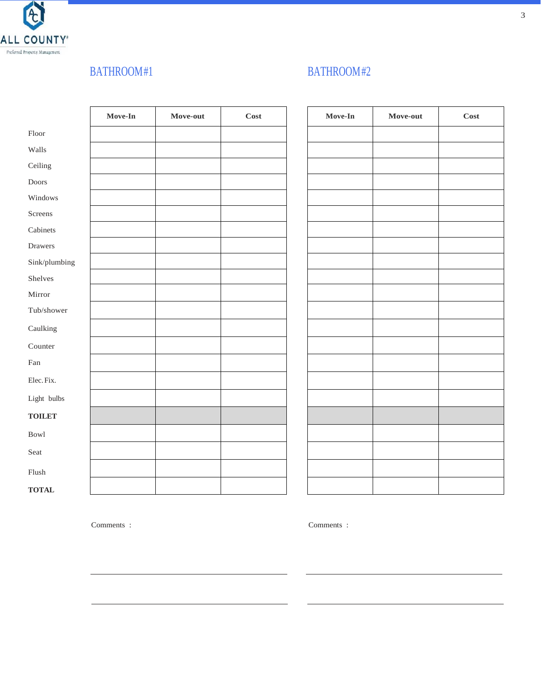

### BATHROOM#1 BATHROOM#2

|                                    | Move-In | ${\bf Move\text{-}out}$ | <b>Cost</b> | Move-In | Move-out | Cost |
|------------------------------------|---------|-------------------------|-------------|---------|----------|------|
| Floor                              |         |                         |             |         |          |      |
| Walls                              |         |                         |             |         |          |      |
| Ceiling                            |         |                         |             |         |          |      |
| Doors                              |         |                         |             |         |          |      |
| Windows                            |         |                         |             |         |          |      |
| Screens                            |         |                         |             |         |          |      |
| Cabinets                           |         |                         |             |         |          |      |
| Drawers                            |         |                         |             |         |          |      |
| Sink/plumbing                      |         |                         |             |         |          |      |
| Shelves                            |         |                         |             |         |          |      |
| Mirror                             |         |                         |             |         |          |      |
| Tub/shower                         |         |                         |             |         |          |      |
| Caulking                           |         |                         |             |         |          |      |
| Counter                            |         |                         |             |         |          |      |
| $\ensuremath{\mathsf{Fan}}\xspace$ |         |                         |             |         |          |      |
| Elec.Fix.                          |         |                         |             |         |          |      |
| Light bulbs                        |         |                         |             |         |          |      |
| <b>TOILET</b>                      |         |                         |             |         |          |      |
| <b>Bowl</b>                        |         |                         |             |         |          |      |
| Seat                               |         |                         |             |         |          |      |
| ${\it Flux}$                       |         |                         |             |         |          |      |
| <b>TOTAL</b>                       |         |                         |             |         |          |      |

| Move-In | Move-out | Cost |
|---------|----------|------|
|         |          |      |
|         |          |      |
|         |          |      |
|         |          |      |
|         |          |      |
|         |          |      |
|         |          |      |
|         |          |      |
|         |          |      |
|         |          |      |
|         |          |      |
|         |          |      |
|         |          |      |
|         |          |      |
|         |          |      |
|         |          |      |
|         |          |      |
|         |          |      |
|         |          |      |
|         |          |      |
|         |          |      |
|         |          |      |
|         |          |      |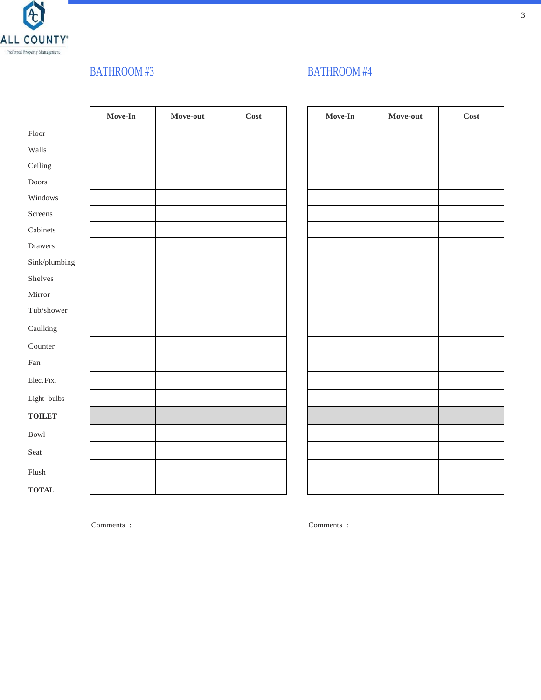

# BATHROOM #3 BATHROOM #4

|                             | Move-In | ${\bf Move\text{-}out}$ | $\mathbf{Cost}$ | ${\bf Move\text{-}In}$ | Move-out | Cost |
|-----------------------------|---------|-------------------------|-----------------|------------------------|----------|------|
| ${\rm Floor}$               |         |                         |                 |                        |          |      |
| Walls                       |         |                         |                 |                        |          |      |
| Ceiling                     |         |                         |                 |                        |          |      |
| Doors                       |         |                         |                 |                        |          |      |
| Windows                     |         |                         |                 |                        |          |      |
| Screens                     |         |                         |                 |                        |          |      |
| Cabinets                    |         |                         |                 |                        |          |      |
| Drawers                     |         |                         |                 |                        |          |      |
| Sink/plumbing               |         |                         |                 |                        |          |      |
| Shelves                     |         |                         |                 |                        |          |      |
| Mirror                      |         |                         |                 |                        |          |      |
| Tub/shower                  |         |                         |                 |                        |          |      |
| Caulking                    |         |                         |                 |                        |          |      |
| Counter                     |         |                         |                 |                        |          |      |
| $\ensuremath{\mathsf{Fan}}$ |         |                         |                 |                        |          |      |
| Elec. Fix.                  |         |                         |                 |                        |          |      |
| Light bulbs                 |         |                         |                 |                        |          |      |
| <b>TOILET</b>               |         |                         |                 |                        |          |      |
| <b>Bowl</b>                 |         |                         |                 |                        |          |      |
| Seat                        |         |                         |                 |                        |          |      |
| ${\it Flux}$                |         |                         |                 |                        |          |      |
| <b>TOTAL</b>                |         |                         |                 |                        |          |      |

| Move-In | Move-out | Cost |
|---------|----------|------|
|         |          |      |
|         |          |      |
|         |          |      |
|         |          |      |
|         |          |      |
|         |          |      |
|         |          |      |
|         |          |      |
|         |          |      |
|         |          |      |
|         |          |      |
|         |          |      |
|         |          |      |
|         |          |      |
|         |          |      |
|         |          |      |
|         |          |      |
|         |          |      |
|         |          |      |
|         |          |      |
|         |          |      |
|         |          |      |
|         |          |      |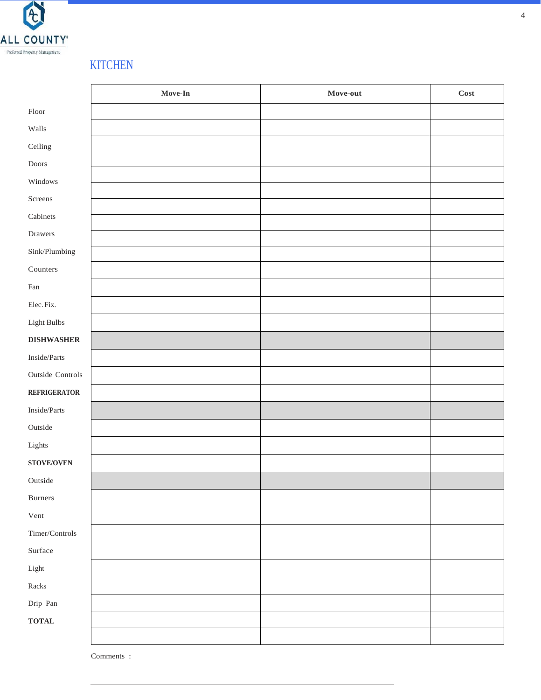

# **KITCHEN**

|                                    | Move-In | Move-out | <b>Cost</b> |
|------------------------------------|---------|----------|-------------|
| Floor                              |         |          |             |
| Walls                              |         |          |             |
| Ceiling                            |         |          |             |
| $\mathop{\mathsf{Doors}}$          |         |          |             |
| Windows                            |         |          |             |
| Screens                            |         |          |             |
| Cabinets                           |         |          |             |
| Drawers                            |         |          |             |
| Sink/Plumbing                      |         |          |             |
| Counters                           |         |          |             |
| $\ensuremath{\mathsf{Fan}}\xspace$ |         |          |             |
| Elec. Fix.                         |         |          |             |
| ${\rm Light~Bulbs}$                |         |          |             |
| <b>DISHWASHER</b>                  |         |          |             |
| Inside/Parts                       |         |          |             |
| Outside Controls                   |         |          |             |
| <b>REFRIGERATOR</b>                |         |          |             |
| Inside/Parts                       |         |          |             |
| Outside                            |         |          |             |
| Lights                             |         |          |             |
| <b>STOVE/OVEN</b>                  |         |          |             |
| Outside                            |         |          |             |
| Burners                            |         |          |             |
| Vent                               |         |          |             |
| Timer/Controls                     |         |          |             |
| $\operatorname{Surface}$           |         |          |             |
| ${\rm Light}$                      |         |          |             |
| $\operatorname*{Racks}\nolimits$   |         |          |             |
| Drip Pan                           |         |          |             |
| $\mathbf{TOTAL}$                   |         |          |             |
|                                    |         |          |             |

Comments :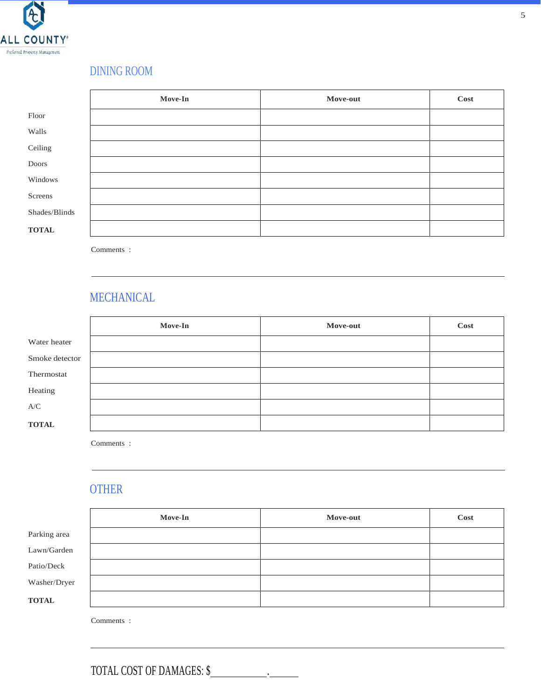

# DINING ROOM

|               | Move-In | Move-out | Cost |
|---------------|---------|----------|------|
| Floor         |         |          |      |
| Walls         |         |          |      |
| Ceiling       |         |          |      |
| Doors         |         |          |      |
| Windows       |         |          |      |
| Screens       |         |          |      |
| Shades/Blinds |         |          |      |
| <b>TOTAL</b>  |         |          |      |

Comments :

### MECHANICAL

|                | Move-In | Move-out | Cost |
|----------------|---------|----------|------|
| Water heater   |         |          |      |
| Smoke detector |         |          |      |
| Thermostat     |         |          |      |
| Heating        |         |          |      |
| A/C            |         |          |      |
| <b>TOTAL</b>   |         |          |      |

Comments :

# **OTHER**

|              | <b>Move-In</b> | Move-out | Cost |
|--------------|----------------|----------|------|
| Parking area |                |          |      |
| Lawn/Garden  |                |          |      |
| Patio/Deck   |                |          |      |
| Washer/Dryer |                |          |      |
| <b>TOTAL</b> |                |          |      |

Comments :

TOTAL COST OF DAMAGES: \$